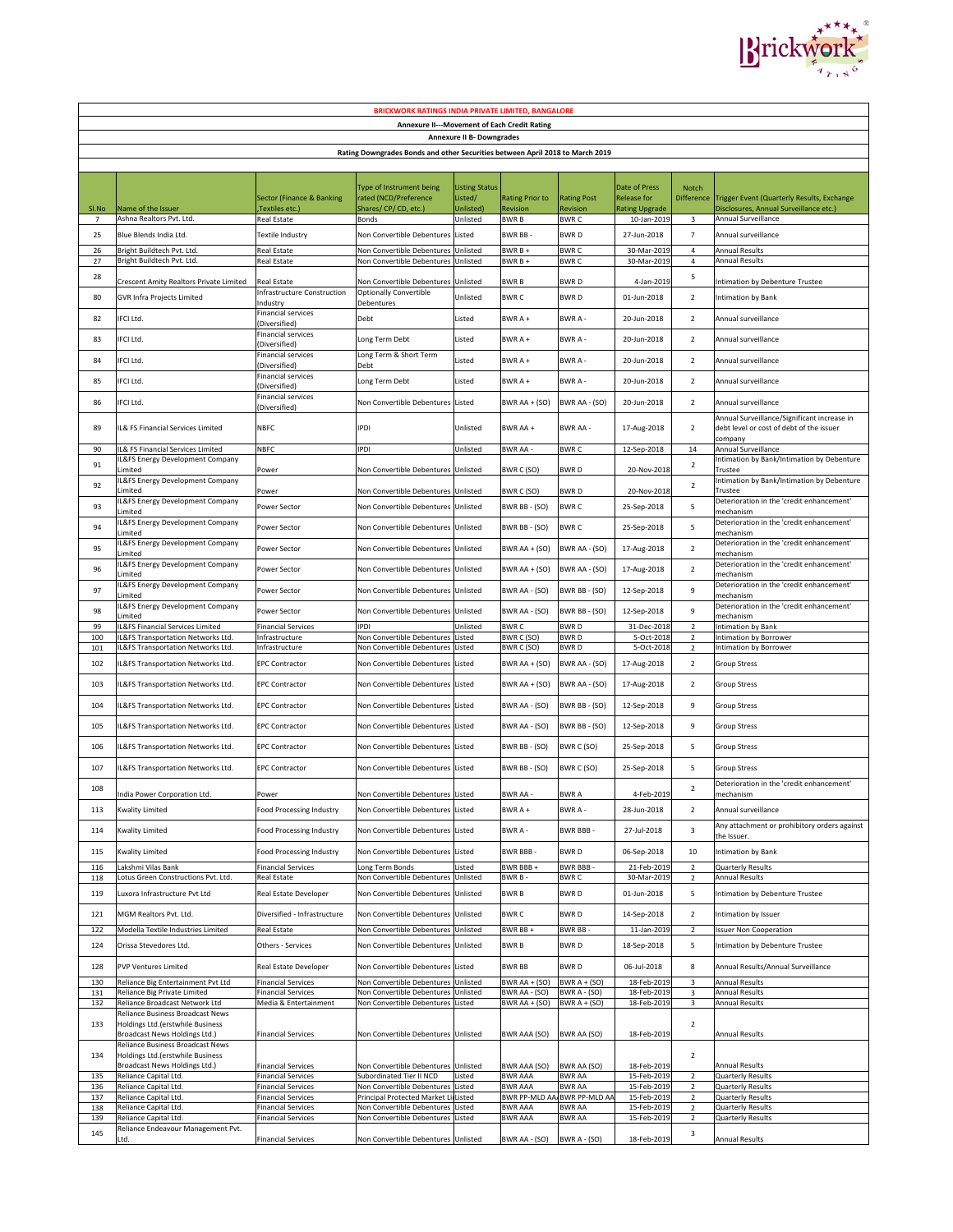

| <b>BRICKWORK RATINGS INDIA PRIVATE LIMITED, BANGALORE</b>                     |                                                                                                       |                                                        |                                                                   |                                  |                                 |                                  |                                     |                                  |                                                                                                    |  |
|-------------------------------------------------------------------------------|-------------------------------------------------------------------------------------------------------|--------------------------------------------------------|-------------------------------------------------------------------|----------------------------------|---------------------------------|----------------------------------|-------------------------------------|----------------------------------|----------------------------------------------------------------------------------------------------|--|
| Annexure II---Movement of Each Credit Rating                                  |                                                                                                       |                                                        |                                                                   |                                  |                                 |                                  |                                     |                                  |                                                                                                    |  |
| <b>Annexure II B- Downgrades</b>                                              |                                                                                                       |                                                        |                                                                   |                                  |                                 |                                  |                                     |                                  |                                                                                                    |  |
| Rating Downgrades Bonds and other Securities between April 2018 to March 2019 |                                                                                                       |                                                        |                                                                   |                                  |                                 |                                  |                                     |                                  |                                                                                                    |  |
|                                                                               |                                                                                                       |                                                        |                                                                   |                                  |                                 |                                  |                                     |                                  |                                                                                                    |  |
|                                                                               |                                                                                                       | Sector (Finance & Banking                              | Type of Instrument being<br>rated (NCD/Preference                 | <b>Listing Status</b><br>Listed/ | <b>Rating Prior to</b>          |                                  | Date of Press<br><b>Release for</b> | Notch                            |                                                                                                    |  |
| SI.No                                                                         | Name of the Issuer                                                                                    | Textiles etc.)                                         | Shares/CP/CD, etc.)                                               | Unlisted)                        | Revision                        | <b>Rating Post</b><br>Revision   | <b>Rating Upgrade</b>               | Difference                       | Trigger Event (Quarterly Results, Exchange<br>Disclosures, Annual Surveillance etc.)               |  |
| $\overline{7}$                                                                | Ashna Realtors Pvt. Ltd.                                                                              | Real Estate                                            | Bonds                                                             | Unlisted                         | BWR B                           | BWR C                            | 10-Jan-2019                         | 3                                | Annual Surveillance                                                                                |  |
| 25                                                                            | Blue Blends India Ltd.                                                                                | Textile Industry                                       | Non Convertible Debentures                                        | Listed                           | BWR BB -                        | BWR D                            | 27-Jun-2018                         | $\overline{7}$                   | Annual surveillance                                                                                |  |
| 26<br>27                                                                      | Bright Buildtech Pvt. Ltd.<br>Bright Buildtech Pvt. Ltd.                                              | Real Estate<br>Real Estate                             | Non Convertible Debentures<br>Non Convertible Debentures          | Unlisted<br>Unlisted             | BWR B +<br>BWR B +              | <b>BWRC</b><br><b>BWRC</b>       | 30-Mar-2019<br>30-Mar-2019          | $\overline{4}$<br>$\overline{4}$ | <b>Annual Results</b><br><b>Annual Results</b>                                                     |  |
| 28                                                                            | Crescent Amity Realtors Private Limited                                                               | Real Estate                                            | Non Convertible Debentures                                        | Unlisted                         | BWR B                           | BWR D                            | 4-Jan-2019                          | 5                                | Intimation by Debenture Trustee                                                                    |  |
| 80                                                                            | <b>GVR Infra Projects Limited</b>                                                                     | nfrastructure Construction                             | <b>Optionally Convertible</b>                                     | Unlisted                         | <b>BWRC</b>                     | BWR D                            | 01-Jun-2018                         | $\mathbf 2$                      | Intimation by Bank                                                                                 |  |
|                                                                               |                                                                                                       | ndustry<br>Financial services                          | Debentures                                                        |                                  |                                 |                                  |                                     |                                  |                                                                                                    |  |
| 82                                                                            | IFCI Ltd.                                                                                             | Diversified)<br>Financial services                     | Debt                                                              | Listed                           | BWR A +                         | BWR A-                           | 20-Jun-2018                         | $\overline{2}$                   | Annual surveillance                                                                                |  |
| 83                                                                            | IFCI Ltd.                                                                                             | Diversified)                                           | Long Term Debt                                                    | Listed                           | BWR A +                         | BWR A-                           | 20-Jun-2018                         | $\overline{2}$                   | Annual surveillance                                                                                |  |
| 84                                                                            | IFCI Ltd.                                                                                             | Financial services<br>Diversified)                     | Long Term & Short Term<br>Debt                                    | Listed                           | BWRA+                           | BWR A-                           | 20-Jun-2018                         | $\overline{2}$                   | Annual surveillance                                                                                |  |
| 85                                                                            | FCI Ltd.                                                                                              | Financial services<br>Diversified)                     | Long Term Debt                                                    | Listed                           | BWRA+                           | BWR A-                           | 20-Jun-2018                         | $\overline{2}$                   | Annual surveillance                                                                                |  |
| 86                                                                            | <b>IFCI Ltd.</b>                                                                                      | Financial services<br>Diversified)                     | Non Convertible Debentures                                        | Listed                           | BWR AA + (SO)                   | BWR AA - (SO)                    | 20-Jun-2018                         | $\overline{2}$                   | Annual surveillance                                                                                |  |
| 89                                                                            | IL& FS Financial Services Limited                                                                     | <b>NBFC</b>                                            | ipdi                                                              | Unlisted                         | BWR AA +                        | <b>BWR AA-</b>                   | 17-Aug-2018                         | $\overline{2}$                   | Annual Surveillance/Significant increase in<br>debt level or cost of debt of the issuer<br>company |  |
| 90<br>91                                                                      | L& FS Financial Services Limited<br>L&FS Energy Development Company                                   | <b>NBFC</b>                                            | <b>PDI</b>                                                        | Unlisted                         | BWR AA -                        | <b>BWRC</b>                      | 12-Sep-2018                         | 14<br>$\overline{2}$             | Annual Surveillance<br>Intimation by Bank/Intimation by Debenture                                  |  |
| 92                                                                            | Limited<br>IL&FS Energy Development Company                                                           | Power                                                  | Non Convertible Debentures Unlisted                               |                                  | BWR C (SO)                      | BWR D                            | 20-Nov-2018                         | $\overline{2}$                   | Trustee<br>Intimation by Bank/Intimation by Debenture                                              |  |
| 93                                                                            | .imited<br>L&FS Energy Development Company                                                            | Power<br>Power Sector                                  | Non Convertible Debentures Unlisted<br>Non Convertible Debentures | Unlisted                         | BWR C (SO)<br>BWR BB - (SO)     | BWR D<br><b>BWRC</b>             | 20-Nov-2018<br>25-Sep-2018          | 5                                | Trustee<br>Deterioration in the 'credit enhancement'                                               |  |
| 94                                                                            | Limited<br>IL&FS Energy Development Company                                                           | Power Sector                                           | Non Convertible Debentures                                        | Unlisted                         | BWR BB - (SO)                   | <b>BWRC</b>                      | 25-Sep-2018                         | 5                                | mechanism<br>Deterioration in the 'credit enhancement'                                             |  |
| 95                                                                            | Limited<br>L&FS Energy Development Company                                                            | Power Sector                                           | Non Convertible Debentures                                        | Unlisted                         | BWR AA + (SO)                   | BWR AA - (SO)                    | 17-Aug-2018                         | $\overline{2}$                   | mechanism<br>Deterioration in the 'credit enhancement'                                             |  |
| 96                                                                            | .imited<br><b>IL&amp;FS Energy Development Company</b>                                                | Power Sector                                           | Non Convertible Debentures Unlisted                               |                                  |                                 |                                  |                                     | $\overline{2}$                   | mechanism<br>Deterioration in the 'credit enhancement'                                             |  |
|                                                                               | .imited<br>L&FS Energy Development Company                                                            |                                                        |                                                                   |                                  | BWR AA + (SO)                   | BWR AA - (SO)                    | 17-Aug-2018                         |                                  | mechanism<br>Deterioration in the 'credit enhancement'                                             |  |
| 97                                                                            | .imited<br>IL&FS Energy Development Company                                                           | Power Sector                                           | Non Convertible Debentures                                        | Unlisted                         | BWR AA - (SO)                   | BWR BB - (SO)                    | 12-Sep-2018                         | 9                                | mechanism<br>Deterioration in the 'credit enhancement'                                             |  |
| 98<br>99                                                                      | Limited<br>L&FS Financial Services Limited                                                            | Power Sector<br><b>Financial Services</b>              | Non Convertible Debentures<br>IPDI                                | Unlisted<br>Unlisted             | BWR AA - (SO)<br><b>BWRC</b>    | BWR BB - (SO)<br><b>BWRD</b>     | 12-Sep-2018<br>31-Dec-2018          | 9<br>$\overline{2}$              | mechanism<br>Intimation by Bank                                                                    |  |
| 100                                                                           | L&FS Transportation Networks Ltd.                                                                     | Infrastructure                                         | Non Convertible Debentures                                        | Listed                           | BWR C (SO)                      | <b>BWRD</b>                      | 5-Oct-2018                          | $\overline{2}$                   | Intimation by Borrower                                                                             |  |
| 101                                                                           | L&FS Transportation Networks Ltd.                                                                     | Infrastructure                                         | Non Convertible Debentures                                        | Listed                           | BWR C (SO)                      | BWR D                            | 5-Oct-2018                          | $\overline{2}$                   | Intimation by Borrower                                                                             |  |
| 102                                                                           | L&FS Transportation Networks Ltd.                                                                     | <b>EPC Contractor</b>                                  | Non Convertible Debentures                                        | Listed                           | BWR AA + (SO)                   | BWR AA - (SO)                    | 17-Aug-2018                         | $\overline{2}$                   | Group Stress                                                                                       |  |
| 103                                                                           | IL&FS Transportation Networks Ltd.                                                                    | <b>EPC Contractor</b>                                  | Non Convertible Debentures Listed                                 |                                  | BWR AA + (SO)                   | BWR AA - (SO)                    | 17-Aug-2018                         | $\overline{2}$                   | Group Stress                                                                                       |  |
| 104                                                                           | IL&FS Transportation Networks Ltd.                                                                    | <b>EPC Contractor</b>                                  | Non Convertible Debentures Listed                                 |                                  | BWR AA - (SO)                   | BWR BB - (SO)                    | 12-Sep-2018                         | 9                                | Group Stress                                                                                       |  |
| 105                                                                           | L&FS Transportation Networks Ltd.                                                                     | <b>EPC Contractor</b>                                  | Non Convertible Debentures Listed                                 |                                  | BWR AA - (SO)                   | BWR BB - (SO)                    | 12-Sep-2018                         | 9                                | Group Stress                                                                                       |  |
| 106                                                                           | IL&FS Transportation Networks Ltd.                                                                    | <b>EPC Contractor</b>                                  | Non Convertible Debentures Listed                                 |                                  | BWR BB - (SO)                   | BWR C (SO)                       | 25-Sep-2018                         | 5                                | Group Stress                                                                                       |  |
| 107                                                                           | IL&FS Transportation Networks Ltd.                                                                    | <b>EPC Contractor</b>                                  | Non Convertible Debentures Listed                                 |                                  | BWR BB - (SO)                   | BWR C (SO)                       | 25-Sep-2018                         | 5                                | Group Stress                                                                                       |  |
| 108                                                                           | India Power Corporation Ltd.                                                                          | Power                                                  | Non Convertible Debentures Listed                                 |                                  | BWR AA -                        | <b>BWRA</b>                      | 4-Feb-2019                          | $\overline{2}$                   | Deterioration in the 'credit enhancement'<br>mechanism                                             |  |
| 113                                                                           | <b>Kwality Limited</b>                                                                                | Food Processing Industry                               | Non Convertible Debentures Listed                                 |                                  | BWR A +                         | BWR A-                           | 28-Jun-2018                         | $\overline{\mathbf{c}}$          | Annual surveillance                                                                                |  |
| 114                                                                           | Kwality Limited                                                                                       | Food Processing Industry                               | Non Convertible Debentures Listed                                 |                                  | BWR A -                         | BWR BBB -                        | 27-Jul-2018                         | 3                                | Any attachment or prohibitory orders against<br>the Issuer.                                        |  |
| 115                                                                           | Kwality Limited                                                                                       | Food Processing Industry                               | Non Convertible Debentures                                        | Listed                           | BWR BBB -                       | <b>BWRD</b>                      | 06-Sep-2018                         | 10                               | <b>Intimation by Bank</b>                                                                          |  |
| 116                                                                           | Lakshmi Vilas Bank<br>Lotus Green Constructions Pvt. Ltd.                                             | <b>Financial Services</b><br>Real Estate               | Long Term Bonds<br>Non Convertible Debentures                     | Listed<br>Unlisted               | BWR BBB +<br>BWR B-             | BWR BBB-<br><b>BWRC</b>          | 21-Feb-2019<br>30-Mar-2019          | $\overline{2}$<br>$\mathbf 2$    | <b>Quarterly Results</b><br>Annual Results                                                         |  |
| 118<br>119                                                                    | Luxora Infrastructure Pvt Ltd                                                                         | Real Estate Developer                                  | Non Convertible Debentures                                        | Unlisted                         | <b>BWRB</b>                     | <b>BWRD</b>                      | 01-Jun-2018                         | 5                                | Intimation by Debenture Trustee                                                                    |  |
| 121                                                                           | MGM Realtors Pvt. Ltd.                                                                                | Diversified - Infrastructure                           | Non Convertible Debentures Unlisted                               |                                  | <b>BWRC</b>                     | <b>BWRD</b>                      | 14-Sep-2018                         | $\overline{2}$                   | Intimation by Issuer                                                                               |  |
| 122                                                                           | Modella Textile Industries Limited                                                                    | Real Estate                                            | Non Convertible Debentures                                        | Unlisted                         | BWR BB +                        | BWR BB -                         | 11-Jan-2019                         | $\overline{2}$                   | <b>Issuer Non Cooperation</b>                                                                      |  |
| 124                                                                           | Orissa Stevedores Ltd.                                                                                | Others - Services                                      | Non Convertible Debentures                                        | Unlisted                         | <b>BWRB</b>                     | <b>BWRD</b>                      | 18-Sep-2018                         | 5                                | Intimation by Debenture Trustee                                                                    |  |
| 128                                                                           | <b>PVP Ventures Limited</b>                                                                           | Real Estate Developer                                  | Non Convertible Debentures                                        | Listed                           | <b>BWR BB</b>                   | <b>BWRD</b>                      | 06-Jul-2018                         | 8                                | Annual Results/Annual Surveillance                                                                 |  |
| 130<br>131                                                                    | Reliance Big Entertainment Pvt Ltd<br>Reliance Big Private Limited                                    | <b>Financial Services</b><br><b>Financial Services</b> | Non Convertible Debentures<br>Non Convertible Debentures          | Jnlisted<br>Unlisted             | BWR AA + (SO)<br>BWR AA - (SO)  | BWR A + (SO)<br>BWR A - (SO)     | 18-Feb-2019<br>18-Feb-2019          | 3<br>3                           | <b>Annual Results</b><br><b>Annual Results</b>                                                     |  |
| 132                                                                           | Reliance Broadcast Network Ltd                                                                        | Media & Entertainment                                  | Non Convertible Debentures                                        | Listed                           | BWR AA + (SO)                   | $\overline{\text{BWR}}$ A + (SO) | 18-Feb-2019                         | 3                                | Annual Results                                                                                     |  |
| 133                                                                           | Reliance Business Broadcast News<br>Holdings Ltd.(erstwhile Business<br>Broadcast News Holdings Ltd.) | inancial Services                                      | Non Convertible Debentures Unlisted                               |                                  | BWR AAA (SO)                    | BWR AA (SO)                      | 18-Feb-2019                         | $\overline{2}$                   | Annual Results                                                                                     |  |
| 134                                                                           | Reliance Business Broadcast News<br>Holdings Ltd.(erstwhile Business                                  |                                                        |                                                                   |                                  |                                 |                                  |                                     | $\overline{2}$                   |                                                                                                    |  |
| 135                                                                           | Broadcast News Holdings Ltd.)<br>Reliance Capital Ltd.                                                | Financial Services<br>Financial Services               | Non Convertible Debentures<br>Subordinated Tier II NCD            | Unlisted<br>Listed               | BWR AAA (SO)<br><b>BWR AAA</b>  | BWR AA (SO)<br><b>BWR AA</b>     | 18-Feb-2019<br>15-Feb-2019          | $\overline{2}$                   | Annual Results<br>Quarterly Results                                                                |  |
| 136                                                                           | Reliance Capital Ltd.                                                                                 | <b>Financial Services</b>                              | Non Convertible Debentures                                        | Listed                           | <b>BWR AAA</b>                  | <b>BWR AA</b>                    | 15-Feb-2019                         | $\overline{2}$                   | Quarterly Results                                                                                  |  |
| 137<br>138                                                                    | Reliance Capital Ltd.<br>Reliance Capital Ltd.                                                        | Financial Services<br>Financial Services               | Principal Protected Market L<br>Non Convertible Debentures        | Listed<br>Listed                 | BWR PP-MLD AA<br><b>BWR AAA</b> | BWR PP-MLD A/<br><b>BWR AA</b>   | 15-Feb-2019<br>15-Feb-2019          | $\sqrt{2}$<br>$\overline{2}$     | Quarterly Results<br>Quarterly Results                                                             |  |
| 139                                                                           | Reliance Capital Ltd.                                                                                 | <b>Financial Services</b>                              | Non Convertible Debentures                                        | Listed                           | <b>BWR AAA</b>                  | <b>BWR AA</b>                    | 15-Feb-2019                         | $\overline{2}$                   | Quarterly Results                                                                                  |  |
| 145                                                                           | Reliance Endeavour Management Pvt.<br>Ltd.                                                            | <b>Financial Services</b>                              | Non Convertible Debentures Unlisted                               |                                  | BWR AA - (SO)                   | BWR A - (SO)                     | 18-Feb-2019                         | 3                                | Annual Results                                                                                     |  |